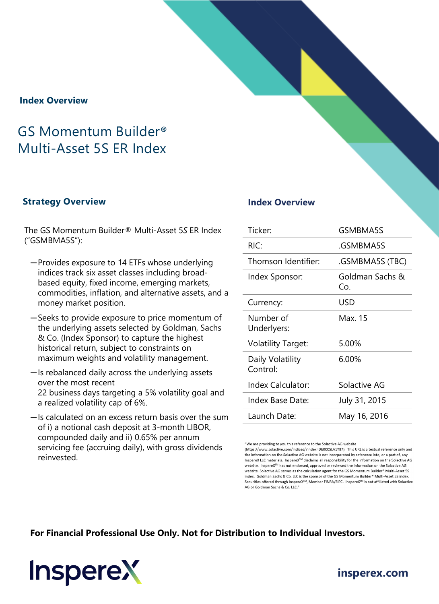### **Index Overview**

# GS Momentum Builder® Multi-Asset 5S ER Index

#### **Strategy Overview Index Overview**

The GS Momentum Builder® Multi-Asset 5*S* ER Index ("GSMBMA5S"):

- ─Provides exposure to 14 ETFs whose underlying indices track six asset classes including broadbased equity, fixed income, emerging markets, commodities, inflation, and alternative assets, and a money market position.
- ─Seeks to provide exposure to price momentum of the underlying assets selected by Goldman, Sachs & Co. (Index Sponsor) to capture the highest historical return, subject to constraints on maximum weights and volatility management.
- ─Is rebalanced daily across the underlying assets over the most recent 22 business days targeting a 5% volatility goal and a realized volatility cap of 6%.
- ─Is calculated on an excess return basis over the sum of i) a notional cash deposit at 3-month LIBOR, compounded daily and ii) 0.65% per annum servicing fee (accruing daily), with gross dividends reinvested.

| Ticker <sup>.</sup>          | GSMBMA5S               |  |  |
|------------------------------|------------------------|--|--|
| RIC:                         | GSMBMA5S               |  |  |
| Thomson Identifier:          | GSMBMA5S (TBC).        |  |  |
| Index Sponsor:               | Goldman Sachs &<br>Co. |  |  |
| Currency:                    | USD                    |  |  |
| Number of<br>Underlyers:     | Max. 15                |  |  |
| <b>Volatility Target:</b>    | 5.00%                  |  |  |
| Daily Volatility<br>Control: | 6.00%                  |  |  |
| Index Calculator:            | Solactive AG           |  |  |
| Index Base Date:             | July 31, 2015          |  |  |
| Launch Date:                 | May 16, 2016           |  |  |

"We are providing to you this reference to the Solactive AG website

**For Financial Professional Use Only. Not for Distribution to Individual Investors.** 



# **[insperex.com](http://www.insperex.com/)**

<sup>(</sup>https://www.solactive.com/indices/?index=DE000SLA1Y87). This URL is a textual reference only and the information on the Solactive AG website is not incorporated by reference into, or a part of, any InspereX LLC materials. InspereX<sup>SM</sup> disclaims all responsibility for the information on the Solactive AG website. InspereX<sup>5M</sup> has not endorsed, approved or reviewed the information on the Solactive AG website. Solactive AG serves as the calculation agent for the GS Momentum Builder® Multi-Asset 5S index. Goldman Sachs & Co. LLC is the sponsor of the GS Momentum Builder® Multi-Asset 5S index. Securities offered through InspereX<sup>SM</sup>, Member FINRA/SIPC. InspereX<sup>SM</sup> is not affiliated with Solactive AG or Goldman Sachs & Co. LLC."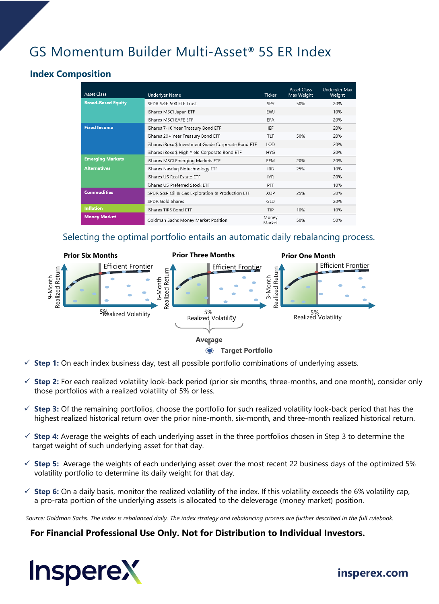# GS Momentum Builder Multi-Asset® 5S ER Index

# **Index Composition**

| <b>Asset Class</b>        | <b>Underlyer Name</b>                                | <b>Ticker</b>   | <b>Asset Class</b><br>Max Weight | <b>Underyler Max</b><br>Weight |
|---------------------------|------------------------------------------------------|-----------------|----------------------------------|--------------------------------|
| <b>Broad-Based Equity</b> | SPDR S&P 500 ETF Trust                               | SPY             | 50%                              | 20%                            |
|                           | iShares MSCI Japan ETF                               | <b>EWJ</b>      |                                  | 10%                            |
|                           | iShares MSCI EAFE ETF                                | <b>EFA</b>      |                                  | 20%                            |
| <b>Fixed Income</b>       | iShares 7-10 Year Treasury Bond ETF                  | IEF             |                                  | 20%                            |
|                           | iShares 20+ Year Treasury Bond ETF                   | TLT             | 50%                              | 20%                            |
|                           | iShares iBoxx \$ Investment Grade Corporate Bond ETF | LOD             |                                  | 20%                            |
|                           | iShares iBoxx \$ High Yield Corporate Bond ETF       | <b>HYG</b>      |                                  | 20%                            |
| <b>Emerging Markets</b>   | iShares MSCI Emerging Markets ETF                    | EEM             | 20%                              | 20%                            |
| <b>Alternatives</b>       | iShares Nasdag Biotechnology ETF                     | <b>IBB</b>      | 25%                              | 10%                            |
|                           | iShares US Real Estate ETF                           | <b>IYR</b>      |                                  | 20%                            |
|                           | iShares US Preferred Stock ETF                       | PFF             |                                  | 10%                            |
| <b>Commodities</b>        | SPDR S&P Oil & Gas Exploration & Production ETF      | <b>XOP</b>      | 25%                              | 20%                            |
|                           | <b>SPDR Gold Shares</b>                              | GLD             |                                  | 20%                            |
| <b>Inflation</b>          | iShares TIPS Bond ETF                                | TIP             | 10%                              | 10%                            |
| <b>Money Market</b>       | Goldman Sachs Money Market Position                  | Money<br>Market | 50%                              | 50%                            |

## Selecting the optimal portfolio entails an automatic daily rebalancing process.



- **Step 1:** On each index business day, test all possible portfolio combinations of underlying assets.
- **Step 2:** For each realized volatility look-back period (prior six months, three-months, and one month), consider only those portfolios with a realized volatility of 5% or less.
- **Step 3:** Of the remaining portfolios, choose the portfolio for such realized volatility look-back period that has the highest realized historical return over the prior nine-month, six-month, and three-month realized historical return.
- **Step 4:** Average the weights of each underlying asset in the three portfolios chosen in Step 3 to determine the target weight of such underlying asset for that day.
- $\checkmark$  Step 5: Average the weights of each underlying asset over the most recent 22 business days of the optimized 5% volatility portfolio to determine its daily weight for that day.
- $\checkmark$  **Step 6:** On a daily basis, monitor the realized volatility of the index. If this volatility exceeds the 6% volatility cap, a pro-rata portion of the underlying assets is allocated to the deleverage (money market) position.

*Source: Goldman Sachs. The index is rebalanced daily. The index strategy and rebalancing process are further described in the full rulebook.*

### **For Financial Professional Use Only. Not for Distribution to Individual Investors.**